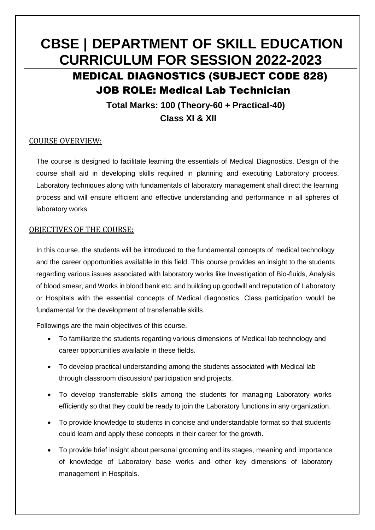# **CBSE | DEPARTMENT OF SKILL EDUCATION CURRICULUM FOR SESSION 2022-2023** MEDICAL DIAGNOSTICS (SUBJECT CODE 828) JOB ROLE: Medical Lab Technician

 **Total Marks: 100 (Theory-60 + Practical-40) Class XI & XII**

#### COURSE OVERVIEW:

The course is designed to facilitate learning the essentials of Medical Diagnostics. Design of the course shall aid in developing skills required in planning and executing Laboratory process. Laboratory techniques along with fundamentals of laboratory management shall direct the learning process and will ensure efficient and effective understanding and performance in all spheres of laboratory works.

#### OBJECTIVES OF THE COURSE:

In this course, the students will be introduced to the fundamental concepts of medical technology and the career opportunities available in this field. This course provides an insight to the students regarding various issues associated with laboratory works like Investigation of Bio-fluids, Analysis of blood smear, and Works in blood bank etc. and building up goodwill and reputation of Laboratory or Hospitals with the essential concepts of Medical diagnostics. Class participation would be fundamental for the development of transferrable skills.

Followings are the main objectives of this course.

- To familiarize the students regarding various dimensions of Medical lab technology and career opportunities available in these fields.
- To develop practical understanding among the students associated with Medical lab through classroom discussion/ participation and projects.
- To develop transferrable skills among the students for managing Laboratory works efficiently so that they could be ready to join the Laboratory functions in any organization.
- To provide knowledge to students in concise and understandable format so that students could learn and apply these concepts in their career for the growth.
- To provide brief insight about personal grooming and its stages, meaning and importance of knowledge of Laboratory base works and other key dimensions of laboratory management in Hospitals.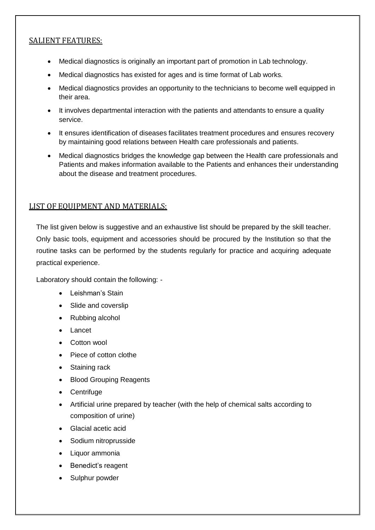#### SALIENT FEATURES:

- Medical diagnostics is originally an important part of promotion in Lab technology.
- Medical diagnostics has existed for ages and is time format of Lab works.
- Medical diagnostics provides an opportunity to the technicians to become well equipped in their area.
- It involves departmental interaction with the patients and attendants to ensure a quality service.
- It ensures identification of diseases facilitates treatment procedures and ensures recovery by maintaining good relations between Health care professionals and patients.
- Medical diagnostics bridges the knowledge gap between the Health care professionals and Patients and makes information available to the Patients and enhances their understanding about the disease and treatment procedures.

#### LIST OF EQUIPMENT AND MATERIALS:

The list given below is suggestive and an exhaustive list should be prepared by the skill teacher. Only basic tools, equipment and accessories should be procured by the Institution so that the routine tasks can be performed by the students regularly for practice and acquiring adequate practical experience.

Laboratory should contain the following: -

- Leishman's Stain
- Slide and coverslip
- Rubbing alcohol
- Lancet
- Cotton wool
- Piece of cotton clothe
- Staining rack
- Blood Grouping Reagents
- **Centrifuge**
- Artificial urine prepared by teacher (with the help of chemical salts according to composition of urine)
- Glacial acetic acid
- Sodium nitroprusside
- Liquor ammonia
- Benedict's reagent
- Sulphur powder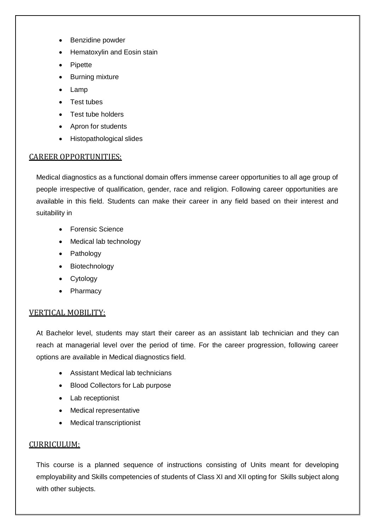- Benzidine powder
- Hematoxylin and Eosin stain
- Pipette
- Burning mixture
- Lamp
- Test tubes
- Test tube holders
- Apron for students
- Histopathological slides

#### CAREER OPPORTUNITIES:

Medical diagnostics as a functional domain offers immense career opportunities to all age group of people irrespective of qualification, gender, race and religion. Following career opportunities are available in this field. Students can make their career in any field based on their interest and suitability in

- Forensic Science
- Medical lab technology
- Pathology
- Biotechnology
- Cytology
- Pharmacy

#### VERTICAL MOBILITY:

At Bachelor level, students may start their career as an assistant lab technician and they can reach at managerial level over the period of time. For the career progression, following career options are available in Medical diagnostics field.

- Assistant Medical lab technicians
- Blood Collectors for Lab purpose
- Lab receptionist
- Medical representative
- Medical transcriptionist

#### CURRICULUM:

This course is a planned sequence of instructions consisting of Units meant for developing employability and Skills competencies of students of Class XI and XII opting for Skills subject along with other subjects.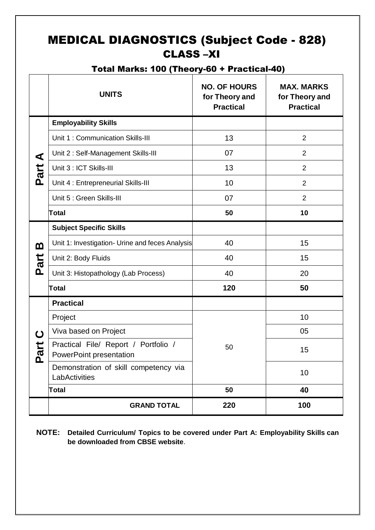## MEDICAL DIAGNOSTICS (Subject Code - 828) CLASS –XI

### Total Marks: 100 (Theory-60 + Practical-40)

|                                 | <b>UNITS</b>                                                    | <b>NO. OF HOURS</b><br>for Theory and<br><b>Practical</b> | <b>MAX. MARKS</b><br>for Theory and<br><b>Practical</b> |
|---------------------------------|-----------------------------------------------------------------|-----------------------------------------------------------|---------------------------------------------------------|
|                                 | <b>Employability Skills</b>                                     |                                                           |                                                         |
|                                 | Unit 1: Communication Skills-III                                | 13                                                        | $\overline{2}$                                          |
| ⋖                               | Unit 2: Self-Management Skills-III                              | 07                                                        | $\overline{2}$                                          |
| Part                            | Unit 3 : ICT Skills-III                                         | 13                                                        | $\overline{2}$                                          |
|                                 | Unit 4 : Entrepreneurial Skills-III                             | 10                                                        | $\overline{2}$                                          |
|                                 | Unit 5 : Green Skills-III                                       | 07                                                        | $\overline{2}$                                          |
|                                 | Total                                                           | 50                                                        | 10                                                      |
|                                 | <b>Subject Specific Skills</b>                                  |                                                           |                                                         |
| <u>ന</u>                        | Unit 1: Investigation- Urine and feces Analysis                 | 40                                                        | 15                                                      |
| <b>Jue</b>                      | Unit 2: Body Fluids                                             | 40                                                        | 15                                                      |
| <u>n</u>                        | Unit 3: Histopathology (Lab Process)                            | 40                                                        | 20                                                      |
|                                 | Total                                                           | 120                                                       | 50                                                      |
|                                 | <b>Practical</b>                                                |                                                           |                                                         |
|                                 | Project                                                         |                                                           | 10                                                      |
|                                 | Viva based on Project                                           |                                                           | 05                                                      |
| Ľ<br>$\boldsymbol{\sigma}$<br>Ը | Practical File/ Report / Portfolio /<br>PowerPoint presentation | 50                                                        | 15                                                      |
|                                 | Demonstration of skill competency via<br>LabActivities          |                                                           | 10                                                      |
|                                 | Total                                                           | 50                                                        | 40                                                      |
|                                 | <b>GRAND TOTAL</b>                                              | 220                                                       | 100                                                     |

#### **NOTE: Detailed Curriculum/ Topics to be covered under Part A: Employability Skills can be downloaded from CBSE website**.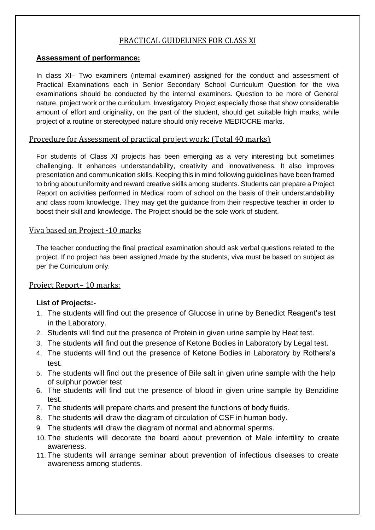#### PRACTICAL GUIDELINES FOR CLASS XI

#### **Assessment of performance:**

In class XI– Two examiners (internal examiner) assigned for the conduct and assessment of Practical Examinations each in Senior Secondary School Curriculum Question for the viva examinations should be conducted by the internal examiners. Question to be more of General nature, project work or the curriculum. Investigatory Project especially those that show considerable amount of effort and originality, on the part of the student, should get suitable high marks, while project of a routine or stereotyped nature should only receive MEDIOCRE marks.

#### Procedure for Assessment of practical project work: (Total 40 marks)

For students of Class XI projects has been emerging as a very interesting but sometimes challenging. It enhances understandability, creativity and innovativeness. It also improves presentation and communication skills. Keeping this in mind following guidelines have been framed to bring about uniformity and reward creative skills among students. Students can prepare a Project Report on activities performed in Medical room of school on the basis of their understandability and class room knowledge. They may get the guidance from their respective teacher in order to boost their skill and knowledge. The Project should be the sole work of student.

#### Viva based on Project -10 marks

The teacher conducting the final practical examination should ask verbal questions related to the project. If no project has been assigned /made by the students, viva must be based on subject as per the Curriculum only.

#### Project Report– 10 marks:

#### **List of Projects:-**

- 1. The students will find out the presence of Glucose in urine by Benedict Reagent's test in the Laboratory.
- 2. Students will find out the presence of Protein in given urine sample by Heat test.
- 3. The students will find out the presence of Ketone Bodies in Laboratory by Legal test.
- 4. The students will find out the presence of Ketone Bodies in Laboratory by Rothera's test.
- 5. The students will find out the presence of Bile salt in given urine sample with the help of sulphur powder test
- 6. The students will find out the presence of blood in given urine sample by Benzidine test.
- 7. The students will prepare charts and present the functions of body fluids.
- 8. The students will draw the diagram of circulation of CSF in human body.
- 9. The students will draw the diagram of normal and abnormal sperms.
- 10. The students will decorate the board about prevention of Male infertility to create awareness.
- 11. The students will arrange seminar about prevention of infectious diseases to create awareness among students.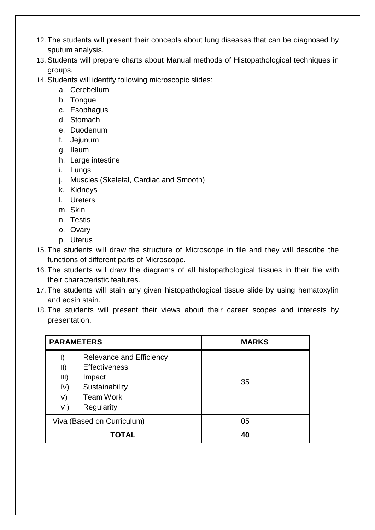- 12. The students will present their concepts about lung diseases that can be diagnosed by sputum analysis.
- 13. Students will prepare charts about Manual methods of Histopathological techniques in groups.
- 14. Students will identify following microscopic slides:
	- a. Cerebellum
	- b. Tongue
	- c. Esophagus
	- d. Stomach
	- e. Duodenum
	- f. Jejunum
	- g. Ileum
	- h. Large intestine
	- i. Lungs
	- j. Muscles (Skeletal, Cardiac and Smooth)
	- k. Kidneys
	- l. Ureters
	- m. Skin
	- n. Testis
	- o. Ovary
	- p. Uterus
- 15. The students will draw the structure of Microscope in file and they will describe the functions of different parts of Microscope.
- 16. The students will draw the diagrams of all histopathological tissues in their file with their characteristic features.
- 17. The students will stain any given histopathological tissue slide by using hematoxylin and eosin stain.
- 18. The students will present their views about their career scopes and interests by presentation.

| <b>PARAMETERS</b>                             |                                                                                                                       | <b>MARKS</b> |
|-----------------------------------------------|-----------------------------------------------------------------------------------------------------------------------|--------------|
| I)<br>$\parallel$<br>III)<br>IV)<br>V)<br>VI) | <b>Relevance and Efficiency</b><br><b>Effectiveness</b><br>Impact<br>Sustainability<br><b>Team Work</b><br>Regularity | 35           |
|                                               | Viva (Based on Curriculum)                                                                                            | 05           |
|                                               | TOTAL                                                                                                                 | 40           |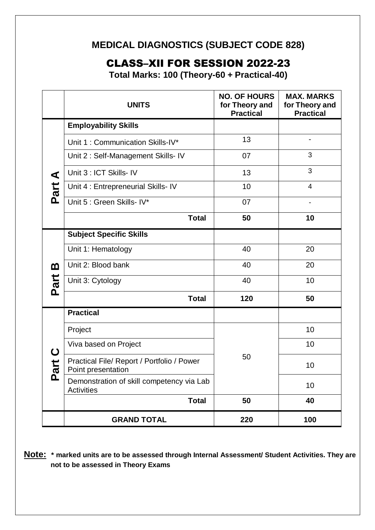## **MEDICAL DIAGNOSTICS (SUBJECT CODE 828)**

# CLASS–XII FOR SESSION 2022-23

**Total Marks: 100 (Theory-60 + Practical-40)**

|          | <b>UNITS</b>                                                     | <b>NO. OF HOURS</b><br>for Theory and<br><b>Practical</b> | <b>MAX. MARKS</b><br>for Theory and<br><b>Practical</b> |
|----------|------------------------------------------------------------------|-----------------------------------------------------------|---------------------------------------------------------|
|          | <b>Employability Skills</b>                                      |                                                           |                                                         |
|          | Unit 1: Communication Skills-IV*                                 | 13                                                        |                                                         |
|          | Unit 2: Self-Management Skills- IV                               | 07                                                        | 3                                                       |
| ⋖        | Unit 3 : ICT Skills- IV                                          | 13                                                        | 3                                                       |
| Part     | Unit 4 : Entrepreneurial Skills- IV                              | 10                                                        | $\overline{4}$                                          |
|          | Unit 5 : Green Skills- IV*                                       | 07                                                        | $\overline{\phantom{a}}$                                |
|          | <b>Total</b>                                                     | 50                                                        | 10                                                      |
|          | <b>Subject Specific Skills</b>                                   |                                                           |                                                         |
|          | Unit 1: Hematology                                               | 40                                                        | 20                                                      |
| മ        | Unit 2: Blood bank                                               | 40                                                        | 20                                                      |
| Part     | Unit 3: Cytology                                                 | 40                                                        | 10                                                      |
|          | <b>Total</b>                                                     | 120                                                       | 50                                                      |
|          | <b>Practical</b>                                                 |                                                           |                                                         |
|          | Project                                                          |                                                           | 10                                                      |
| ပ        | Viva based on Project                                            |                                                           | 10                                                      |
| art      | Practical File/ Report / Portfolio / Power<br>Point presentation | 50                                                        | 10                                                      |
| <u>ռ</u> | Demonstration of skill competency via Lab<br><b>Activities</b>   |                                                           | 10                                                      |
|          | <b>Total</b>                                                     | 50                                                        | 40                                                      |
|          | <b>GRAND TOTAL</b>                                               | 220                                                       | 100                                                     |

**Note: \* marked units are to be assessed through Internal Assessment/ Student Activities. They are not to be assessed in Theory Exams**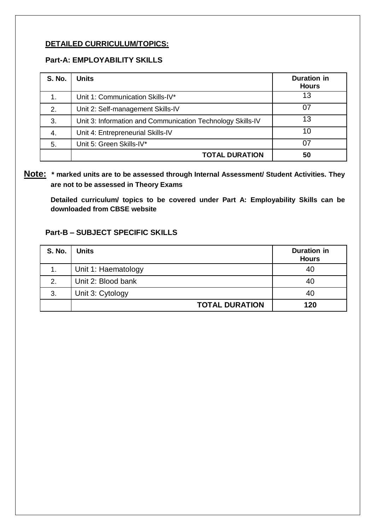#### **DETAILED CURRICULUM/TOPICS:**

#### **Part-A: EMPLOYABILITY SKILLS**

| <b>S. No.</b> | <b>Units</b>                                               | Duration in<br><b>Hours</b> |
|---------------|------------------------------------------------------------|-----------------------------|
|               | Unit 1: Communication Skills-IV*                           | 13                          |
| 2.            | Unit 2: Self-management Skills-IV                          | 07                          |
| 3.            | Unit 3: Information and Communication Technology Skills-IV | 13                          |
| 4.            | Unit 4: Entrepreneurial Skills-IV                          | 10                          |
| 5.            | Unit 5: Green Skills-IV*                                   | በ7                          |
|               | <b>TOTAL DURATION</b>                                      | 50                          |

#### **Note: \* marked units are to be assessed through Internal Assessment/ Student Activities. They are not to be assessed in Theory Exams**

**Detailed curriculum/ topics to be covered under Part A: Employability Skills can be downloaded from CBSE website**

#### **Part-B – SUBJECT SPECIFIC SKILLS**

| <b>S. No.</b> | <b>Units</b>          | <b>Duration in</b><br><b>Hours</b> |
|---------------|-----------------------|------------------------------------|
|               | Unit 1: Haematology   | 40                                 |
| 2.            | Unit 2: Blood bank    | 40                                 |
| 3.            | Unit 3: Cytology      | 40                                 |
|               | <b>TOTAL DURATION</b> | 120                                |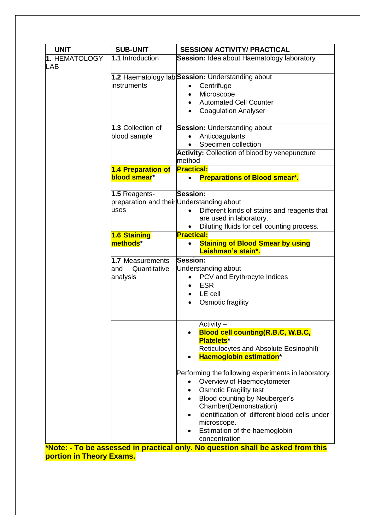| <b>UNIT</b>   | <b>SUB-UNIT</b>                                      | <b>SESSION/ ACTIVITY/ PRACTICAL</b>                                                                                                                                                                                                                                                            |
|---------------|------------------------------------------------------|------------------------------------------------------------------------------------------------------------------------------------------------------------------------------------------------------------------------------------------------------------------------------------------------|
| 1. HEMATOLOGY | 1.1 Introduction                                     | <b>Session:</b> Idea about Haematology laboratory                                                                                                                                                                                                                                              |
| LAB           | instruments                                          | 1.2 Haematology lab Session: Understanding about<br>Centrifuge<br>$\bullet$<br>Microscope<br><b>Automated Cell Counter</b><br>$\bullet$<br><b>Coagulation Analyser</b><br>$\bullet$                                                                                                            |
|               | 1.3 Collection of<br>blood sample                    | <b>Session: Understanding about</b><br>Anticoagulants<br>Specimen collection<br><b>Activity: Collection of blood by venepuncture</b><br>method                                                                                                                                                 |
|               | 1.4 Preparation of<br><b>blood smear*</b>            | <b>Practical:</b><br><b>Preparations of Blood smear*.</b>                                                                                                                                                                                                                                      |
|               | 1.5 Reagents-<br>uses                                | Session:<br>preparation and their Understanding about<br>Different kinds of stains and reagents that<br>are used in laboratory.<br>Diluting fluids for cell counting process.                                                                                                                  |
|               | 1.6 Staining<br>methods <sup>*</sup>                 | <b>Practical:</b><br><b>Staining of Blood Smear by using</b><br>$\bullet$<br>Leishman's stain*.                                                                                                                                                                                                |
|               | 1.7 Measurements<br>Quantitative<br>land<br>analysis | Session:<br>Understanding about<br>PCV and Erythrocyte Indices<br><b>ESR</b><br>LE cell<br>Osmotic fragility                                                                                                                                                                                   |
|               |                                                      | Activity -<br><b>Blood cell counting(R.B.C, W.B.C,</b><br><b>Platelets*</b><br>Reticulocytes and Absolute Eosinophil)<br><b>Haemoglobin estimation*</b>                                                                                                                                        |
|               |                                                      | Performing the following experiments in laboratory<br>Overview of Haemocytometer<br><b>Osmotic Fragility test</b><br>Blood counting by Neuberger's<br>Chamber(Demonstration)<br>Identification of different blood cells under<br>microscope.<br>Estimation of the haemoglobin<br>concentration |

**\*Note: - To be assessed in practical only. No question shall be asked from this portion in Theory Exams.**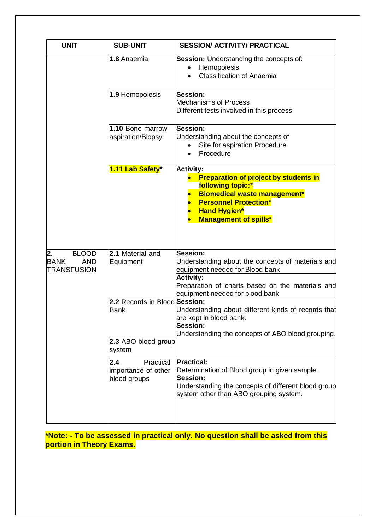| <b>UNIT</b>                                                           | <b>SUB-UNIT</b>                                                        | <b>SESSION/ ACTIVITY/ PRACTICAL</b>                                                                                                                                                                                 |
|-----------------------------------------------------------------------|------------------------------------------------------------------------|---------------------------------------------------------------------------------------------------------------------------------------------------------------------------------------------------------------------|
|                                                                       | 1.8 Anaemia                                                            | Session: Understanding the concepts of:<br>Hemopoiesis<br>$\bullet$<br><b>Classification of Anaemia</b>                                                                                                             |
|                                                                       | 1.9 Hemopoiesis                                                        | Session:<br><b>Mechanisms of Process</b><br>Different tests involved in this process                                                                                                                                |
|                                                                       | 1.10 Bone marrow<br>aspiration/Biopsy                                  | <b>Session:</b><br>Understanding about the concepts of<br>Site for aspiration Procedure<br>Procedure                                                                                                                |
|                                                                       | 1.11 Lab Safety*                                                       | <b>Activity:</b><br><b>Preparation of project by students in</b><br>following topic:*<br><b>Biomedical waste management*</b><br><b>Personnel Protection*</b><br><b>Hand Hygien*</b><br><b>Management of spills*</b> |
| 2.<br><b>BLOOD</b><br><b>BANK</b><br><b>AND</b><br><b>TRANSFUSION</b> | 2.1 Material and<br>Equipment                                          | <b>Session:</b><br>Understanding about the concepts of materials and<br>equipment needed for Blood bank<br><b>Activity:</b><br>Preparation of charts based on the materials and<br>equipment needed for blood bank  |
|                                                                       | 2.2 Records in Blood Session:<br>Bank<br>2.3 ABO blood group<br>system | Understanding about different kinds of records that<br>are kept in blood bank.<br><b>Session:</b><br>Understanding the concepts of ABO blood grouping.                                                              |
|                                                                       | Practical<br>2.4<br>importance of other<br>blood groups                | <b>Practical:</b><br>Determination of Blood group in given sample.<br>Session:<br>Understanding the concepts of different blood group<br>system other than ABO grouping system.                                     |

#### **\*Note: - To be assessed in practical only. No question shall be asked from this portion in Theory Exams.**